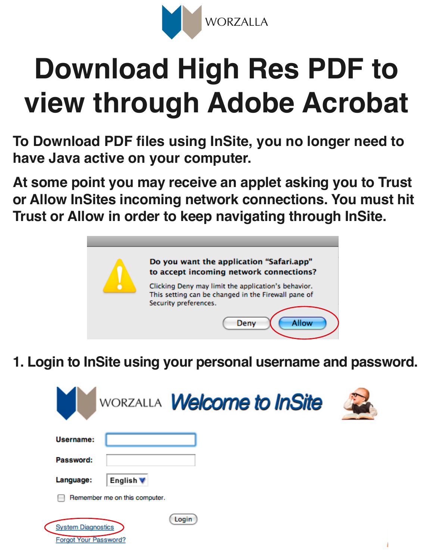

## **Download High Res PDF to view through Adobe Acrobat**

**To Download PDF files using InSite, you no longer need to have Java active on your computer.** 

**At some point you may receive an applet asking you to Trust or Allow InSites incoming network connections. You must hit Trust or Allow in order to keep navigating through InSite.**



**1. Login to InSite using your personal username and password.**

| WORZALLA <b>Welcome to InSite</b>                                  |  |
|--------------------------------------------------------------------|--|
| Username:                                                          |  |
| Password:                                                          |  |
| Language:<br>English V                                             |  |
| Remember me on this computer.                                      |  |
| Login<br><b>System Diagnostics</b><br><b>Forgot Your Password?</b> |  |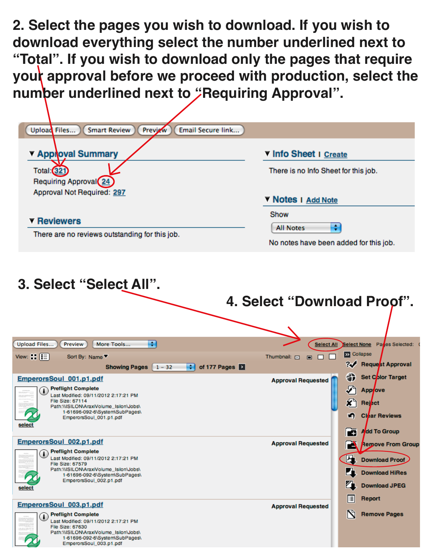**2. Select the pages you wish to download. If you wish to download everything select the number underlined next to "Total". If you wish to download only the pages that require**  your approval before we proceed with production, select the number underlined next to "Requiring Approval".

| Upload Files<br><b>Smart Review</b><br>Email Secure link<br>Previzw                                                                                                                                                                      |                                                                                                                                                          |
|------------------------------------------------------------------------------------------------------------------------------------------------------------------------------------------------------------------------------------------|----------------------------------------------------------------------------------------------------------------------------------------------------------|
| <b>Y Apploval Summary</b>                                                                                                                                                                                                                | V Info Sheet I Create                                                                                                                                    |
| <b>Total:</b> 321<br>Requiring Approval 24                                                                                                                                                                                               | There is no Info Sheet for this job.                                                                                                                     |
| Approval Not Required: 297                                                                                                                                                                                                               | V Notes I Add Note                                                                                                                                       |
| <b>T</b> Reviewers                                                                                                                                                                                                                       | Show<br>÷<br><b>All Notes</b>                                                                                                                            |
| There are no reviews outstanding for this job.                                                                                                                                                                                           | No notes have been added for this job.                                                                                                                   |
| 3. Select "Select All".<br>H<br>Upload Files<br>More Tools<br>Preview                                                                                                                                                                    | 4. Select "Download Proof".<br><b>Select All</b><br>Select None    Panes Selected:                                                                       |
| View: $\boxed{E}$<br>Sort By: Name ▼                                                                                                                                                                                                     | <b>Ex</b> Collapse<br>Thumbnail: <b>B3</b><br>$\Box$                                                                                                     |
| of 177 Pages<br><b>Showing Pages</b><br>÷I<br>$1 - 32$                                                                                                                                                                                   | Request Approval<br>₩                                                                                                                                    |
| EmperorsSoul_001.p1.pdf<br><b>Preflight Complete</b><br>Last Modified: 09/11/2012 2:17:21 PM<br>File Size: 67114<br>Path:\\ISILON\AraxiVolume_Isilon\Jobs\<br>1-61696-092-6\System\SubPages\<br>EmperorsSoul_001.p1.pdf<br><u>select</u> | 6<br>Set Color Target<br><b>Approval Requested</b><br>D<br>Applove<br>$\boldsymbol{x}$<br>Reject<br><b>Clear Reviews</b><br>n<br>Add To Group<br>Æ       |
| EmperorsSoul 002.p1.pdf<br><b>Preflight Complete</b><br>Œ<br>Last Modified: 09/11/2012 2:17:21 PM<br>File Size: 67579<br>Path:\\ISILON\AraxiVolume_Isilon\Jobs\<br>1-61696-092-6\System\SubPages\<br>EmperorsSoul_002.p1.pdf<br>select   | <b>Approval Requested</b><br><b>Remove From Group</b><br>Δ<br>石<br><b>Download Proof</b><br><b>Download HiRes</b><br><b>Download JPEG</b><br>膻<br>Report |
| EmperorsSoul 003.p1.pdf<br><b>Preflight Complete</b><br>Œ<br>Last Modified: 09/11/2012 2:17:21 PM<br>File Size: 67630                                                                                                                    | <b>Approval Requested</b><br>N<br><b>Remove Pages</b>                                                                                                    |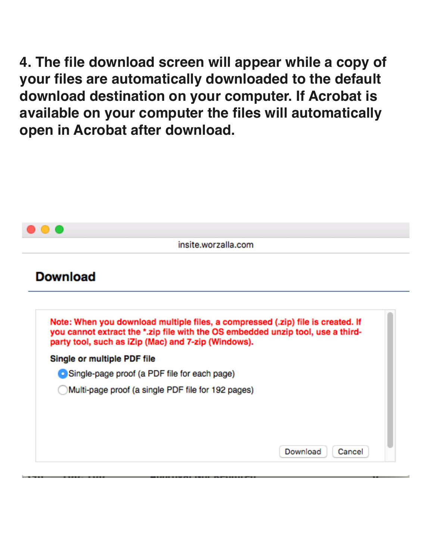**4. The file download screen will appear while a copy of your files are automatically downloaded to the default download destination on your computer. If Acrobat is available on your computer the files will automatically open in Acrobat after download.** 

|                                                                                                                                                                                                                           | insite.worzalla.com |  |
|---------------------------------------------------------------------------------------------------------------------------------------------------------------------------------------------------------------------------|---------------------|--|
| <b>Download</b>                                                                                                                                                                                                           |                     |  |
| Note: When you download multiple files, a compressed (.zip) file is created. If<br>you cannot extract the *.zip file with the OS embedded unzip tool, use a third-<br>party tool, such as iZip (Mac) and 7-zip (Windows). |                     |  |
| Single or multiple PDF file                                                                                                                                                                                               |                     |  |
| Single-page proof (a PDF file for each page)                                                                                                                                                                              |                     |  |
|                                                                                                                                                                                                                           |                     |  |
| Multi-page proof (a single PDF file for 192 pages)                                                                                                                                                                        |                     |  |
|                                                                                                                                                                                                                           |                     |  |
|                                                                                                                                                                                                                           |                     |  |